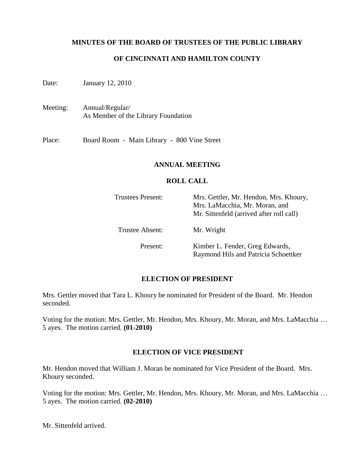## **MINUTES OF THE BOARD OF TRUSTEES OF THE PUBLIC LIBRARY**

# **OF CINCINNATI AND HAMILTON COUNTY**

Date: January 12, 2010

Meeting: Annual/Regular/ As Member of the Library Foundation

Place: Board Room - Main Library - 800 Vine Street

#### **ANNUAL MEETING**

#### **ROLL CALL**

| <b>Trustees Present:</b> | Mrs. Gettler, Mr. Hendon, Mrs. Khoury,<br>Mrs. LaMacchia, Mr. Moran, and<br>Mr. Sittenfeld (arrived after roll call) |
|--------------------------|----------------------------------------------------------------------------------------------------------------------|
| Trustee Absent:          | Mr. Wright                                                                                                           |
| Present:                 | Kimber L. Fender, Greg Edwards,<br>Raymond Hils and Patricia Schoettker                                              |

## **ELECTION OF PRESIDENT**

Mrs. Gettler moved that Tara L. Khoury be nominated for President of the Board. Mr. Hendon seconded.

Voting for the motion: Mrs. Gettler, Mr. Hendon, Mrs. Khoury, Mr. Moran, and Mrs. LaMacchia … 5 ayes. The motion carried. **(01-2010)**

## **ELECTION OF VICE PRESIDENT**

Mr. Hendon moved that William J. Moran be nominated for Vice President of the Board. Mrs. Khoury seconded.

Voting for the motion: Mrs. Gettler, Mr. Hendon, Mrs. Khoury, Mr. Moran, and Mrs. LaMacchia … 5 ayes. The motion carried. **(02-2010)** 

Mr. Sittenfeld arrived.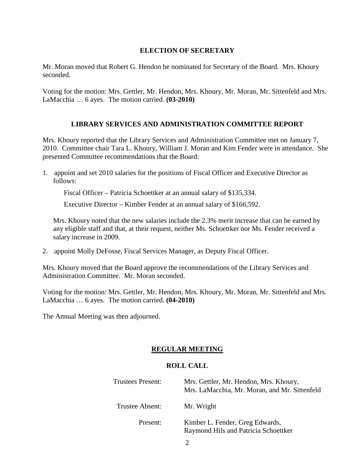## **ELECTION OF SECRETARY**

Mr. Moran moved that Robert G. Hendon be nominated for Secretary of the Board. Mrs. Khoury seconded.

Voting for the motion: Mrs. Gettler, Mr. Hendon, Mrs. Khoury, Mr. Moran, Mr. Sittenfeld and Mrs. LaMacchia … 6 ayes. The motion carried. **(03-2010)** 

# **LIBRARY SERVICES AND ADMINISTRATION COMMITTEE REPORT**

Mrs. Khoury reported that the Library Services and Administration Committee met on January 7, 2010. Committee chair Tara L. Khoury, William J. Moran and Kim Fender were in attendance. She presented Committee recommendations that the Board:

1. appoint and set 2010 salaries for the positions of Fiscal Officer and Executive Director as follows:

Fiscal Officer – Patricia Schoettker at an annual salary of \$135,334.

Executive Director – Kimber Fender at an annual salary of \$166,592.

Mrs. Khoury noted that the new salaries include the 2.3% merit increase that can be earned by any eligible staff and that, at their request, neither Ms. Schoettker nor Ms. Fender received a salary increase in 2009.

2. appoint Molly DeFosse, Fiscal Services Manager, as Deputy Fiscal Officer.

Mrs. Khoury moved that the Board approve the recommendations of the Library Services and Administration Committee. Mr. Moran seconded.

Voting for the motion: Mrs. Gettler, Mr. Hendon, Mrs. Khoury, Mr. Moran, Mr. Sittenfeld and Mrs. LaMacchia … 6 ayes. The motion carried. **(04-2010)** 

The Annual Meeting was then adjourned.

# **REGULAR MEETING**

# **ROLL CALL**

| <b>Trustees Present:</b> | Mrs. Gettler, Mr. Hendon, Mrs. Khoury,<br>Mrs. LaMacchia, Mr. Moran, and Mr. Sittenfeld |
|--------------------------|-----------------------------------------------------------------------------------------|
| Trustee Absent:          | Mr. Wright                                                                              |
| Present:                 | Kimber L. Fender, Greg Edwards,<br>Raymond Hils and Patricia Schoettker                 |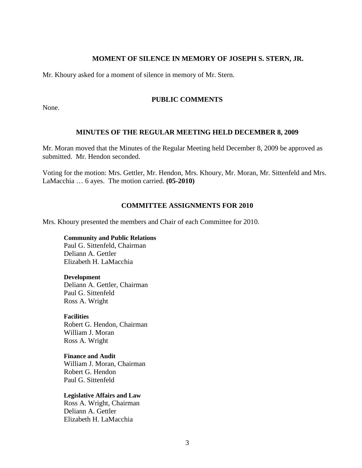## **MOMENT OF SILENCE IN MEMORY OF JOSEPH S. STERN, JR.**

Mr. Khoury asked for a moment of silence in memory of Mr. Stern.

#### **PUBLIC COMMENTS**

None.

## **MINUTES OF THE REGULAR MEETING HELD DECEMBER 8, 2009**

Mr. Moran moved that the Minutes of the Regular Meeting held December 8, 2009 be approved as submitted. Mr. Hendon seconded.

Voting for the motion: Mrs. Gettler, Mr. Hendon, Mrs. Khoury, Mr. Moran, Mr. Sittenfeld and Mrs. LaMacchia … 6 ayes. The motion carried. **(05-2010)** 

## **COMMITTEE ASSIGNMENTS FOR 2010**

Mrs. Khoury presented the members and Chair of each Committee for 2010.

**Community and Public Relations**  Paul G. Sittenfeld, Chairman Deliann A. Gettler Elizabeth H. LaMacchia

#### **Development**

Deliann A. Gettler, Chairman Paul G. Sittenfeld Ross A. Wright

**Facilities**  Robert G. Hendon, Chairman William J. Moran Ross A. Wright

**Finance and Audit**  William J. Moran, Chairman Robert G. Hendon Paul G. Sittenfeld

**Legislative Affairs and Law**  Ross A. Wright, Chairman Deliann A. Gettler Elizabeth H. LaMacchia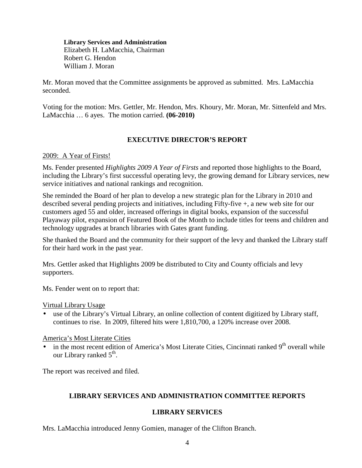**Library Services and Administration**  Elizabeth H. LaMacchia, Chairman Robert G. Hendon William J. Moran

Mr. Moran moved that the Committee assignments be approved as submitted. Mrs. LaMacchia seconded.

Voting for the motion: Mrs. Gettler, Mr. Hendon, Mrs. Khoury, Mr. Moran, Mr. Sittenfeld and Mrs. LaMacchia … 6 ayes. The motion carried. **(06-2010)** 

# **EXECUTIVE DIRECTOR'S REPORT**

# 2009: A Year of Firsts!

Ms. Fender presented *Highlights 2009 A Year of Firsts* and reported those highlights to the Board, including the Library's first successful operating levy, the growing demand for Library services, new service initiatives and national rankings and recognition.

She reminded the Board of her plan to develop a new strategic plan for the Library in 2010 and described several pending projects and initiatives, including Fifty-five +, a new web site for our customers aged 55 and older, increased offerings in digital books, expansion of the successful Playaway pilot, expansion of Featured Book of the Month to include titles for teens and children and technology upgrades at branch libraries with Gates grant funding.

She thanked the Board and the community for their support of the levy and thanked the Library staff for their hard work in the past year.

Mrs. Gettler asked that Highlights 2009 be distributed to City and County officials and levy supporters.

Ms. Fender went on to report that:

Virtual Library Usage

• use of the Library's Virtual Library, an online collection of content digitized by Library staff, continues to rise. In 2009, filtered hits were 1,810,700, a 120% increase over 2008.

# America's Most Literate Cities

in the most recent edition of America's Most Literate Cities, Cincinnati ranked  $9<sup>th</sup>$  overall while our Library ranked 5<sup>th</sup>.

The report was received and filed.

# **LIBRARY SERVICES AND ADMINISTRATION COMMITTEE REPORTS**

# **LIBRARY SERVICES**

Mrs. LaMacchia introduced Jenny Gomien, manager of the Clifton Branch.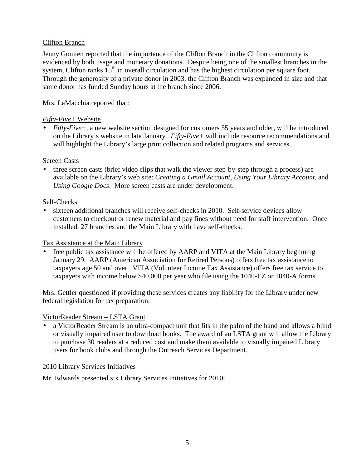# Clifton Branch

Jenny Gomien reported that the importance of the Clifton Branch in the Clifton community is evidenced by both usage and monetary donations. Despite being one of the smallest branches in the system, Clifton ranks  $15<sup>th</sup>$  in overall circulation and has the highest circulation per square foot. Through the generosity of a private donor in 2003, the Clifton Branch was expanded in size and that same donor has funded Sunday hours at the branch since 2006.

# Mrs. LaMacchia reported that:

# *Fifty-Five+* Website

• *Fifty-Five*+, a new website section designed for customers 55 years and older, will be introduced on the Library's website in late January. *Fifty-Five+* will include resource recommendations and will highlight the Library's large print collection and related programs and services.

# Screen Casts

• three screen casts (brief video clips that walk the viewer step-by-step through a process) are available on the Library's web site: *Creating a Gmail Account*, *Using Your Library Account*, and *Using Google Docs*. More screen casts are under development.

# Self-Checks

• sixteen additional branches will receive self-checks in 2010. Self-service devices allow customers to checkout or renew material and pay fines without need for staff intervention. Once installed, 27 branches and the Main Library with have self-checks.

# Tax Assistance at the Main Library

• free public tax assistance will be offered by AARP and VITA at the Main Library beginning January 29. AARP (American Association for Retired Persons) offers free tax assistance to taxpayers age 50 and over. VITA (Volunteer Income Tax Assistance) offers free tax service to taxpayers with income below \$40,000 per year who file using the 1040-EZ or 1040-A forms.

Mrs. Gettler questioned if providing these services creates any liability for the Library under new federal legislation for tax preparation.

# VictorReader Stream – LSTA Grant

• a VictorReader Stream is an ultra-compact unit that fits in the palm of the hand and allows a blind or visually impaired user to download books. The award of an LSTA grant will allow the Library to purchase 30 readers at a reduced cost and make them available to visually impaired Library users for book clubs and through the Outreach Services Department.

# 2010 Library Services Initiatives

Mr. Edwards presented six Library Services initiatives for 2010: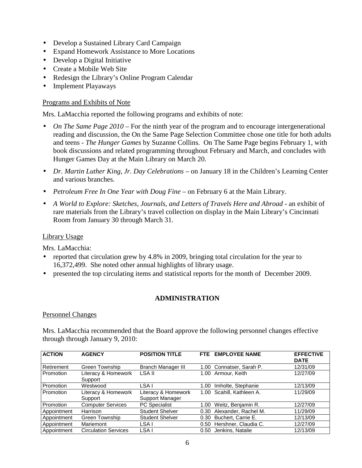- Develop a Sustained Library Card Campaign
- Expand Homework Assistance to More Locations
- Develop a Digital Initiative
- Create a Mobile Web Site
- Redesign the Library's Online Program Calendar
- Implement Playaways

#### Programs and Exhibits of Note

Mrs. LaMacchia reported the following programs and exhibits of note:

- *On The Same Page 2010* For the ninth year of the program and to encourage intergenerational reading and discussion, the On the Same Page Selection Committee chose one title for both adults and teens - *The Hunger Games* by Suzanne Collins. On The Same Page begins February 1, with book discussions and related programming throughout February and March, and concludes with Hunger Games Day at the Main Library on March 20.
- *Dr. Martin Luther King, Jr. Day Celebrations* on January 18 in the Children's Learning Center and various branches*.*
- *Petroleum Free In One Year with Doug Fine* on February 6 at the Main Library.
- A World to Explore: Sketches, Journals, and Letters of Travels Here and Abroad an exhibit of rare materials from the Library's travel collection on display in the Main Library's Cincinnati Room from January 30 through March 31.

#### Library Usage

Mrs. LaMacchia:

- reported that circulation grew by 4.8% in 2009, bringing total circulation for the year to 16,372,499. She noted other annual highlights of library usage.
- presented the top circulating items and statistical reports for the month of December 2009.

## **ADMINISTRATION**

#### Personnel Changes

Mrs. LaMacchia recommended that the Board approve the following personnel changes effective through through January 9, 2010:

| <b>ACTION</b> | <b>AGENCY</b>                  | <b>POSITION TITLE</b>                  | <b>FTE</b>        | <b>EMPLOYEE NAME</b>      | <b>EFFECTIVE</b><br><b>DATE</b> |
|---------------|--------------------------------|----------------------------------------|-------------------|---------------------------|---------------------------------|
| Retirement    | Green Township                 | <b>Branch Manager III</b>              |                   | 1.00 Connatser, Sarah P.  | 12/31/09                        |
| Promotion     | Literacy & Homework<br>Support | LSA II                                 |                   | 1.00 Armour, Keith        | 12/27/09                        |
| Promotion     | Westwood                       | LSA I                                  | 1.00              | Imholte, Stephanie        | 12/13/09                        |
| Promotion     | Literacy & Homework<br>Support | Literacy & Homework<br>Support Manager |                   | 1.00 Scahill, Kathleen A. | 11/29/09                        |
| Promotion     | <b>Computer Services</b>       | <b>PC</b> Specialist                   | 1.00 <sub>1</sub> | Weitz, Benjamin R.        | 12/27/09                        |
| Appointment   | Harrison                       | <b>Student Shelver</b>                 | 0.30              | Alexander, Rachel M.      | 11/29/09                        |
| Appointment   | Green Township                 | <b>Student Shelver</b>                 | 0.30              | Buchert, Carrie E.        | 12/13/09                        |
| Appointment   | Mariemont                      | LSA I                                  |                   | 0.50 Hershner, Claudia C. | 12/27/09                        |
| Appointment   | <b>Circulation Services</b>    | LSA I                                  | 0.50              | Jenkins, Natalie          | 12/13/09                        |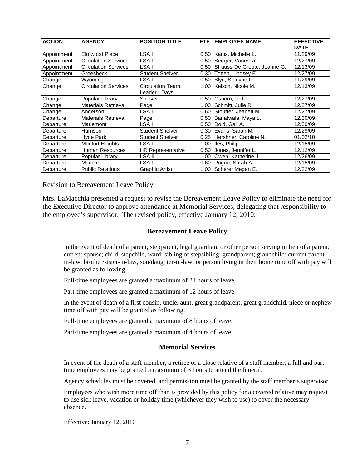| <b>ACTION</b> | <b>AGENCY</b>               | <b>POSITION TITLE</b>             | FTE. | <b>EMPLOYEE NAME</b>         | <b>EFFECTIVE</b><br><b>DATE</b> |
|---------------|-----------------------------|-----------------------------------|------|------------------------------|---------------------------------|
| Appointment   | Elmwood Place               | LSA I                             | 0.50 | Kanis, Michelle L.           | 11/29/09                        |
| Appointment   | <b>Circulation Services</b> | LSA I                             | 0.50 | Seeger, Vanessa              | 12/27/09                        |
| Appointment   | <b>Circulation Services</b> | LSA I                             | 0.50 | Strauss-De Groote, Jeanne G. | 12/13/09                        |
| Appointment   | Groesbeck                   | <b>Student Shelver</b>            | 0.30 | Totten, Lindsey E.           | 12/27/09                        |
| Change        | Wyoming                     | LSA I                             | 0.50 | Blye, Starlyne C.            | 11/29/09                        |
| Change        | <b>Circulation Services</b> | Circulation Team<br>Leader - Days | 1.00 | Kelsch, Nicole M.            | 12/13/09                        |
| Change        | Popular Library             | Shelver                           | 0.50 | Osborn, Jodi L.              | 12/27/09                        |
| Change        | <b>Materials Retrieval</b>  | Page                              | 1.00 | Schmitt, Julie R.            | 12/27/09                        |
| Change        | Anderson                    | LSA I                             | 0.60 | Stouffer, Jeanett M.         | 12/27/09                        |
| Departure     | <b>Materials Retrieval</b>  | Page                              | 0.50 | Banatwala, Maya L.           | 12/30/09                        |
| Departure     | Mariemont                   | LSA I                             | 0.50 | Dold, Gail A.                | 12/30/09                        |
| Departure     | Harrison                    | <b>Student Shelver</b>            | 0.30 | Evans, Sarah M.              | 12/29/09                        |
| Departure     | Hyde Park                   | Student Shelver                   | 0.25 | Hershner, Caroline N.        | 01/02/10                        |
| Departure     | <b>Monfort Heights</b>      | LSA I                             | 1.00 | Iles, Philip T.              | 12/15/09                        |
| Departure     | Human Resources             | <b>HR Representative</b>          | 0.50 | Jones, Jennifer L.           | 12/12/09                        |
| Departure     | Popular Library             | LSA II                            | 1.00 | Owen, Katherine J.           | 12/26/09                        |
| Departure     | Madeira                     | LSA I                             | 0.60 | Pogue, Sarah A.              | 12/15/09                        |
| Departure     | <b>Public Relations</b>     | <b>Graphic Artist</b>             | 1.00 | Scherer Megan E.             | 12/22/09                        |

#### Revision to Bereavement Leave Policy

Mrs. LaMacchia presented a request to revise the Bereavement Leave Policy to eliminate the need for the Executive Director to approve attendance at Memorial Services, delegating that responsibility to the employee's supervisor. The revised policy, effective January 12, 2010:

#### **Bereavement Leave Policy**

In the event of death of a parent, stepparent, legal guardian, or other person serving in lieu of a parent; current spouse; child, stepchild, ward; sibling or stepsibling; grandparent; grandchild; current parentin-law, brother/sister-in-law, son/daughter-in-law; or person living in their home time off with pay will be granted as following.

Full-time employees are granted a maximum of 24 hours of leave.

Part-time employees are granted a maximum of 12 hours of leave.

In the event of death of a first cousin, uncle, aunt, great grandparent, great grandchild, niece or nephew time off with pay will be granted as following.

Full-time employees are granted a maximum of 8 hours of leave.

Part-time employees are granted a maximum of 4 hours of leave.

#### **Memorial Services**

In event of the death of a staff member, a retiree or a close relative of a staff member, a full and parttime employees may be granted a maximum of 3 hours to attend the funeral.

Agency schedules must be covered, and permission must be granted by the staff member's supervisor.

Employees who wish more time off than is provided by this policy for a covered relative may request to use sick leave, vacation or holiday time (whichever they wish to use) to cover the necessary absence.

Effective: January 12, 2010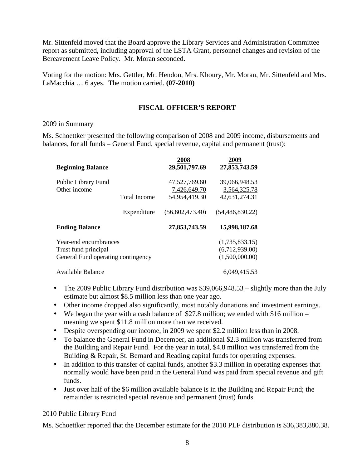Mr. Sittenfeld moved that the Board approve the Library Services and Administration Committee report as submitted, including approval of the LSTA Grant, personnel changes and revision of the Bereavement Leave Policy. Mr. Moran seconded.

Voting for the motion: Mrs. Gettler, Mr. Hendon, Mrs. Khoury, Mr. Moran, Mr. Sittenfeld and Mrs. LaMacchia … 6 ayes. The motion carried. **(07-2010)** 

# **FISCAL OFFICER'S REPORT**

# 2009 in Summary

Ms. Schoettker presented the following comparison of 2008 and 2009 income, disbursements and balances, for all funds – General Fund, special revenue, capital and permanent (trust):

| <b>Beginning Balance</b>                                                            |                     | 2008<br>29,501,797.69                          | 2009<br>27,853,743.59                              |
|-------------------------------------------------------------------------------------|---------------------|------------------------------------------------|----------------------------------------------------|
| Public Library Fund<br>Other income                                                 | <b>Total Income</b> | 47,527,769.60<br>7,426,649.70<br>54,954,419.30 | 39,066,948.53<br>3,564,325.78<br>42,631,274.31     |
|                                                                                     | Expenditure         | (56,602,473.40)                                | (54, 486, 830.22)                                  |
| <b>Ending Balance</b>                                                               |                     | 27,853,743.59                                  | 15,998,187.68                                      |
| Year-end encumbrances<br>Trust fund principal<br>General Fund operating contingency |                     |                                                | (1,735,833.15)<br>(6,712,939.00)<br>(1,500,000.00) |
| Available Balance                                                                   |                     |                                                | 6,049,415.53                                       |

- The 2009 Public Library Fund distribution was \$39,066,948.53 slightly more than the July estimate but almost \$8.5 million less than one year ago.
- Other income dropped also significantly, most notably donations and investment earnings.
- We began the year with a cash balance of \$27.8 million; we ended with \$16 million meaning we spent \$11.8 million more than we received.
- Despite overspending our income, in 2009 we spent \$2.2 million less than in 2008.
- To balance the General Fund in December, an additional \$2.3 million was transferred from the Building and Repair Fund. For the year in total, \$4.8 million was transferred from the Building & Repair, St. Bernard and Reading capital funds for operating expenses.
- In addition to this transfer of capital funds, another \$3.3 million in operating expenses that normally would have been paid in the General Fund was paid from special revenue and gift funds.
- Just over half of the \$6 million available balance is in the Building and Repair Fund; the remainder is restricted special revenue and permanent (trust) funds.

# 2010 Public Library Fund

Ms. Schoettker reported that the December estimate for the 2010 PLF distribution is \$36,383,880.38.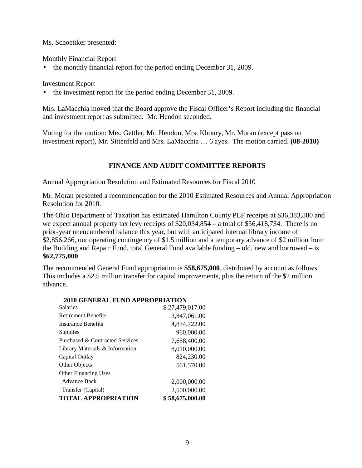Ms. Schoettker presented:

Monthly Financial Report

• the monthly financial report for the period ending December 31, 2009.

# Investment Report

• the investment report for the period ending December 31, 2009.

Mrs. LaMacchia moved that the Board approve the Fiscal Officer's Report including the financial and investment report as submitted. Mr. Hendon seconded.

Voting for the motion: Mrs. Gettler, Mr. Hendon, Mrs. Khoury, Mr. Moran (except pass on investment report), Mr. Sittenfeld and Mrs. LaMacchia … 6 ayes. The motion carried. **(08-2010)** 

# **FINANCE AND AUDIT COMMITTEE REPORTS**

# Annual Appropriation Resolution and Estimated Resources for Fiscal 2010

Mr. Moran presented a recommendation for the 2010 Estimated Resources and Annual Appropriation Resolution for 2010.

The Ohio Department of Taxation has estimated Hamilton County PLF receipts at \$36,383,880 and we expect annual property tax levy receipts of  $$20,034,854 - a$  total of \$56,418,734. There is no prior-year unencumbered balance this year, but with anticipated internal library income of \$2,856,266, our operating contingency of \$1.5 million and a temporary advance of \$2 million from the Building and Repair Fund, total General Fund available funding *–* old, new and borrowed – is **\$62,775,000**.

The recommended General Fund appropriation is **\$58,675,000**, distributed by account as follows. This includes a \$2.5 million transfer for capital improvements, plus the return of the \$2 million advance.

| 2010 GENERAL FUND APPROPRIATION |                 |
|---------------------------------|-----------------|
| <b>Salaries</b>                 | \$27,479,017.00 |
| <b>Retirement Benefits</b>      | 3,847,061.00    |
| <b>Insurance Benefits</b>       | 4,834,722.00    |
| Supplies                        | 960,000.00      |
| Purchased & Contracted Services | 7,658,400.00    |
| Library Materials & Information | 8,010,000.00    |
| Capital Outlay                  | 824,230.00      |
| Other Objects                   | 561,570.00      |
| <b>Other Financing Uses</b>     |                 |
| Advance Back                    | 2,000,000.00    |
| Transfer (Capital)              | 2,500,000.00    |
| <b>TOTAL APPROPRIATION</b>      | \$58,675,000.00 |

# **2010 GENERAL FUND APPROPRIATION**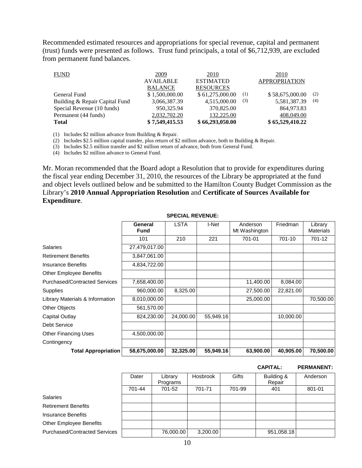Recommended estimated resources and appropriations for special revenue, capital and permanent (trust) funds were presented as follows. Trust fund principals, a total of \$6,712,939, are excluded from permanent fund balances.

| <b>FUND</b>                    | 2009             | 2010             |     | 2010                 |     |
|--------------------------------|------------------|------------------|-----|----------------------|-----|
|                                | <b>AVAILABLE</b> | <b>ESTIMATED</b> |     | <b>APPROPRIATION</b> |     |
|                                | <b>BALANCE</b>   | <b>RESOURCES</b> |     |                      |     |
| General Fund                   | \$1,500,000.00   | \$61,275,000.00  | (1) | \$58,675,000.00      | (2) |
| Building & Repair Capital Fund | 3,066,387.39     | 4,515,000.00     | (3) | 5,581,387.39         | (4) |
| Special Revenue (10 funds)     | 950,325.94       | 370,825.00       |     | 864,973.83           |     |
| Permanent (44 funds)           | 2,032,702.20     | 132,225.00       |     | 408,049.00           |     |
| <b>Total</b>                   | \$7,549,415.53   | \$66,293,050.00  |     | \$65,529,410.22      |     |

(1) Includes \$2 million advance from Building & Repair.

(2) Includes \$2.5 million capital transfer, plus return of \$2 million advance, both to Building & Repair.

(3) Includes \$2.5 million transfer and \$2 million return of advance, both from General Fund.

(4) Includes \$2 million advance to General Fund.

Mr. Moran recommended that the Board adopt a Resolution that to provide for expenditures during the fiscal year ending December 31, 2010, the resources of the Library be appropriated at the fund and object levels outlined below and be submitted to the Hamilton County Budget Commission as the Library's **2010 Annual Appropriation Resolution** and **Certificate of Sources Available for Expenditure**.

|                                      | General<br><b>Fund</b> | <b>LSTA</b> | I-Net     | Anderson<br>Mt Washington | Friedman  | Library<br><b>Materials</b> |
|--------------------------------------|------------------------|-------------|-----------|---------------------------|-----------|-----------------------------|
|                                      | 101                    | 210         | 221       | 701-01                    | 701-10    | 701-12                      |
| Salaries                             | 27,479,017.00          |             |           |                           |           |                             |
| <b>Retirement Benefits</b>           | 3,847,061.00           |             |           |                           |           |                             |
| Insurance Benefits                   | 4,834,722.00           |             |           |                           |           |                             |
| <b>Other Employee Benefits</b>       |                        |             |           |                           |           |                             |
| <b>Purchased/Contracted Services</b> | 7,658,400.00           |             |           | 11,400.00                 | 8,084.00  |                             |
| <b>Supplies</b>                      | 960,000.00             | 8,325.00    |           | 27,500.00                 | 22,821.00 |                             |
| Library Materials & Information      | 8,010,000.00           |             |           | 25,000.00                 |           | 70,500.00                   |
| <b>Other Objects</b>                 | 561,570.00             |             |           |                           |           |                             |
| Capital Outlay                       | 824,230.00             | 24,000.00   | 55,949.16 |                           | 10,000.00 |                             |
| <b>Debt Service</b>                  |                        |             |           |                           |           |                             |
| <b>Other Financing Uses</b>          | 4,500,000.00           |             |           |                           |           |                             |
| Contingency                          |                        |             |           |                           |           |                             |
| <b>Total Appropriation</b>           | 58,675,000.00          | 32,325.00   | 55,949.16 | 63,900.00                 | 40,905.00 | 70,500.00                   |

#### **SPECIAL REVENUE:**

#### **CAPITAL: PERMANENT:**

|                                      | Dater  | Library<br>Programs | Hosbrook | Gifts  | Building &<br>Repair | Anderson |
|--------------------------------------|--------|---------------------|----------|--------|----------------------|----------|
|                                      | 701-44 | 701-52              | 701-71   | 701-99 | 401                  | 801-01   |
| <b>Salaries</b>                      |        |                     |          |        |                      |          |
| <b>Retirement Benefits</b>           |        |                     |          |        |                      |          |
| <b>Insurance Benefits</b>            |        |                     |          |        |                      |          |
| <b>Other Employee Benefits</b>       |        |                     |          |        |                      |          |
| <b>Purchased/Contracted Services</b> |        | 76,000.00           | 3,200.00 |        | 951,058.18           |          |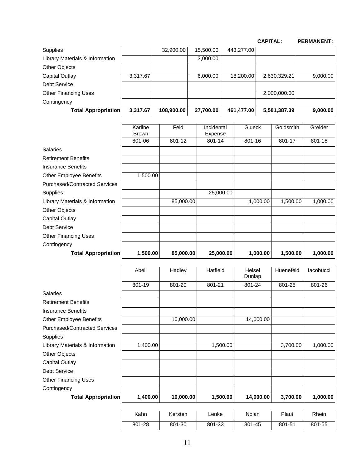|                                 |          |            |           |            | <b>CAPITAL:</b> | <b>PERMANENT:</b> |
|---------------------------------|----------|------------|-----------|------------|-----------------|-------------------|
| Supplies                        |          | 32,900.00  | 15,500.00 | 443,277.00 |                 |                   |
| Library Materials & Information |          |            | 3,000.00  |            |                 |                   |
| Other Objects                   |          |            |           |            |                 |                   |
| <b>Capital Outlay</b>           | 3,317.67 |            | 6,000.00  | 18,200,00  | 2,630,329.21    | 9,000.00          |
| <b>Debt Service</b>             |          |            |           |            |                 |                   |
| <b>Other Financing Uses</b>     |          |            |           |            | 2,000,000.00    |                   |
| Contingency                     |          |            |           |            |                 |                   |
| <b>Total Appropriation</b>      | 3,317.67 | 108,900.00 | 27,700.00 | 461,477.00 | 5,581,387.39    | 9,000.00          |

|                                      | Karline<br><b>Brown</b> | Feld      | Incidental<br>Expense | Glueck   | Goldsmith | Greider  |
|--------------------------------------|-------------------------|-----------|-----------------------|----------|-----------|----------|
|                                      | 801-06                  | 801-12    | 801-14                | 801-16   | 801-17    | 801-18   |
| <b>Salaries</b>                      |                         |           |                       |          |           |          |
| <b>Retirement Benefits</b>           |                         |           |                       |          |           |          |
| <b>Insurance Benefits</b>            |                         |           |                       |          |           |          |
| <b>Other Employee Benefits</b>       | 1,500.00                |           |                       |          |           |          |
| <b>Purchased/Contracted Services</b> |                         |           |                       |          |           |          |
| Supplies                             |                         |           | 25,000.00             |          |           |          |
| Library Materials & Information      |                         | 85,000.00 |                       | 1,000.00 | 1,500.00  | 1,000.00 |
| Other Objects                        |                         |           |                       |          |           |          |
| <b>Capital Outlay</b>                |                         |           |                       |          |           |          |
| <b>Debt Service</b>                  |                         |           |                       |          |           |          |
| <b>Other Financing Uses</b>          |                         |           |                       |          |           |          |
| Contingency                          |                         |           |                       |          |           |          |
| <b>Total Appropriation</b>           | 1,500.00                | 85,000.00 | 25,000.00             | 1,000.00 | 1,500.00  | 1,000.00 |

|                                      | Abell    | Hadley    | Hatfield | Heisel<br>Dunlap | Huenefeld | lacobucci |
|--------------------------------------|----------|-----------|----------|------------------|-----------|-----------|
|                                      | 801-19   | 801-20    | 801-21   | 801-24           | 801-25    | 801-26    |
| <b>Salaries</b>                      |          |           |          |                  |           |           |
| <b>Retirement Benefits</b>           |          |           |          |                  |           |           |
| <b>Insurance Benefits</b>            |          |           |          |                  |           |           |
| <b>Other Employee Benefits</b>       |          | 10,000.00 |          | 14,000.00        |           |           |
| <b>Purchased/Contracted Services</b> |          |           |          |                  |           |           |
| Supplies                             |          |           |          |                  |           |           |
| Library Materials & Information      | 1,400.00 |           | 1,500.00 |                  | 3,700.00  | 1,000.00  |
| Other Objects                        |          |           |          |                  |           |           |
| <b>Capital Outlay</b>                |          |           |          |                  |           |           |
| <b>Debt Service</b>                  |          |           |          |                  |           |           |
| <b>Other Financing Uses</b>          |          |           |          |                  |           |           |
| Contingency                          |          |           |          |                  |           |           |
| <b>Total Appropriation</b>           | 1,400.00 | 10,000.00 | 1,500.00 | 14,000.00        | 3,700.00  | 1,000.00  |

| Kahn   | Kersten | ∟enke  | Nolan  | Plaut  | Rhein  |
|--------|---------|--------|--------|--------|--------|
| 801-28 | 801-30  | 801-33 | 801-45 | 801-51 | 801-55 |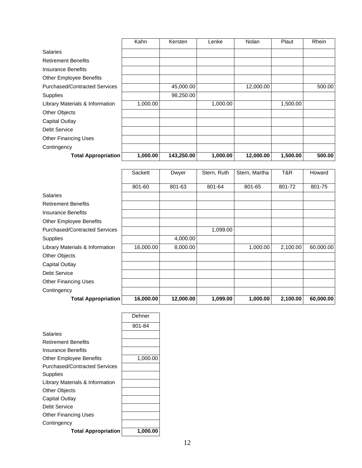|                                      | Kahn     | Kersten    | Lenke    | Nolan     | Plaut    | Rhein  |
|--------------------------------------|----------|------------|----------|-----------|----------|--------|
| <b>Salaries</b>                      |          |            |          |           |          |        |
| <b>Retirement Benefits</b>           |          |            |          |           |          |        |
| <b>Insurance Benefits</b>            |          |            |          |           |          |        |
| <b>Other Employee Benefits</b>       |          |            |          |           |          |        |
| <b>Purchased/Contracted Services</b> |          | 45,000.00  |          | 12,000.00 |          | 500.00 |
| Supplies                             |          | 98,250.00  |          |           |          |        |
| Library Materials & Information      | 1,000.00 |            | 1,000.00 |           | 1,500.00 |        |
| Other Objects                        |          |            |          |           |          |        |
| Capital Outlay                       |          |            |          |           |          |        |
| <b>Debt Service</b>                  |          |            |          |           |          |        |
| <b>Other Financing Uses</b>          |          |            |          |           |          |        |
| Contingency                          |          |            |          |           |          |        |
| <b>Total Appropriation</b>           | 1,000.00 | 143,250.00 | 1,000.00 | 12,000.00 | 1,500.00 | 500.00 |

|                                      | Sackett   | Dwyer     | Stern, Ruth | Stern, Martha | T&R      | Howard    |
|--------------------------------------|-----------|-----------|-------------|---------------|----------|-----------|
|                                      |           |           |             |               |          |           |
|                                      | 801-60    | 801-63    | 801-64      | 801-65        | 801-72   | 801-75    |
| <b>Salaries</b>                      |           |           |             |               |          |           |
| <b>Retirement Benefits</b>           |           |           |             |               |          |           |
| <b>Insurance Benefits</b>            |           |           |             |               |          |           |
| <b>Other Employee Benefits</b>       |           |           |             |               |          |           |
| <b>Purchased/Contracted Services</b> |           |           | 1,099.00    |               |          |           |
| Supplies                             |           | 4,000.00  |             |               |          |           |
| Library Materials & Information      | 16,000.00 | 8,000.00  |             | 1,000.00      | 2,100.00 | 60,000.00 |
| <b>Other Objects</b>                 |           |           |             |               |          |           |
| Capital Outlay                       |           |           |             |               |          |           |
| Debt Service                         |           |           |             |               |          |           |
| <b>Other Financing Uses</b>          |           |           |             |               |          |           |
| Contingency                          |           |           |             |               |          |           |
| Total Appropriation                  | 16,000.00 | 12,000.00 | 1,099.00    | 1,000.00      | 2,100.00 | 60,000.00 |

|                                 | Dehner   |
|---------------------------------|----------|
|                                 | 801-84   |
| Salaries                        |          |
| <b>Retirement Benefits</b>      |          |
| Insurance Benefits              |          |
| Other Employee Benefits         | 1,000.00 |
| Purchased/Contracted Services   |          |
| Supplies                        |          |
| Library Materials & Information |          |
| <b>Other Objects</b>            |          |
| Capital Outlay                  |          |
| Debt Service                    |          |
| <b>Other Financing Uses</b>     |          |
| Contingency                     |          |
| <b>Total Appropriation</b>      | 1.000.00 |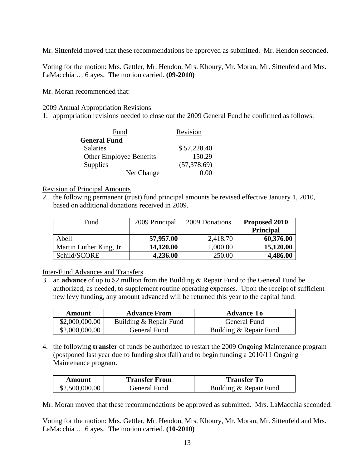Mr. Sittenfeld moved that these recommendations be approved as submitted. Mr. Hendon seconded.

Voting for the motion: Mrs. Gettler, Mr. Hendon, Mrs. Khoury, Mr. Moran, Mr. Sittenfeld and Mrs. LaMacchia … 6 ayes. The motion carried. **(09-2010)**

Mr. Moran recommended that:

2009 Annual Appropriation Revisions

1. appropriation revisions needed to close out the 2009 General Fund be confirmed as follows:

| Fund                           | Revision     |
|--------------------------------|--------------|
| <b>General Fund</b>            |              |
| <b>Salaries</b>                | \$57,228.40  |
| <b>Other Employee Benefits</b> | 150.29       |
| Supplies                       | (57, 378.69) |
| Net Change                     |              |

## Revision of Principal Amounts

2. the following permanent (trust) fund principal amounts be revised effective January 1, 2010, based on additional donations received in 2009.

| Fund                    | 2009 Principal | 2009 Donations | Proposed 2010    |
|-------------------------|----------------|----------------|------------------|
|                         |                |                | <b>Principal</b> |
| Abell                   | 57,957.00      | 2,418.70       | 60,376.00        |
| Martin Luther King, Jr. | 14,120.00      | 1,000.00       | 15,120.00        |
| Schild/SCORE            | 4,236.00       | 250.00         | 4,486.00         |

Inter-Fund Advances and Transfers

3. an **advance** of up to \$2 million from the Building & Repair Fund to the General Fund be authorized, as needed, to supplement routine operating expenses. Upon the receipt of sufficient new levy funding, any amount advanced will be returned this year to the capital fund.

| Amount         | <b>Advance From</b>    | <b>Advance To</b>      |
|----------------|------------------------|------------------------|
| \$2,000,000.00 | Building & Repair Fund | General Fund           |
| \$2,000,000.00 | General Fund           | Building & Repair Fund |

4. the following **transfer** of funds be authorized to restart the 2009 Ongoing Maintenance program (postponed last year due to funding shortfall) and to begin funding a 2010/11 Ongoing Maintenance program.

| Amount         | <b>Transfer From</b> | <b>Transfer To</b>     |
|----------------|----------------------|------------------------|
| \$2,500,000.00 | General Fund         | Building & Repair Fund |

Mr. Moran moved that these recommendations be approved as submitted. Mrs. LaMacchia seconded.

Voting for the motion: Mrs. Gettler, Mr. Hendon, Mrs. Khoury, Mr. Moran, Mr. Sittenfeld and Mrs. LaMacchia … 6 ayes. The motion carried. **(10-2010)**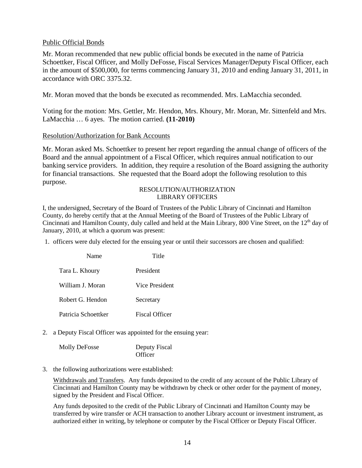## Public Official Bonds

Mr. Moran recommended that new public official bonds be executed in the name of Patricia Schoettker, Fiscal Officer, and Molly DeFosse, Fiscal Services Manager/Deputy Fiscal Officer, each in the amount of \$500,000, for terms commencing January 31, 2010 and ending January 31, 2011, in accordance with ORC 3375.32.

Mr. Moran moved that the bonds be executed as recommended. Mrs. LaMacchia seconded.

Voting for the motion: Mrs. Gettler, Mr. Hendon, Mrs. Khoury, Mr. Moran, Mr. Sittenfeld and Mrs. LaMacchia … 6 ayes. The motion carried. **(11-2010)**

#### Resolution/Authorization for Bank Accounts

Mr. Moran asked Ms. Schoettker to present her report regarding the annual change of officers of the Board and the annual appointment of a Fiscal Officer, which requires annual notification to our banking service providers. In addition, they require a resolution of the Board assigning the authority for financial transactions. She requested that the Board adopt the following resolution to this purpose.

#### RESOLUTION/AUTHORIZATION LIBRARY OFFICERS

I, the undersigned, Secretary of the Board of Trustees of the Public Library of Cincinnati and Hamilton County, do hereby certify that at the Annual Meeting of the Board of Trustees of the Public Library of Cincinnati and Hamilton County, duly called and held at the Main Library, 800 Vine Street, on the 12<sup>th</sup> day of January, 2010, at which a quorum was present:

1. officers were duly elected for the ensuing year or until their successors are chosen and qualified:

| Name                | Title                 |
|---------------------|-----------------------|
| Tara L. Khoury      | President             |
| William J. Moran    | Vice President        |
| Robert G. Hendon    | Secretary             |
| Patricia Schoettker | <b>Fiscal Officer</b> |

2. a Deputy Fiscal Officer was appointed for the ensuing year:

| <b>Molly DeFosse</b> | Deputy Fiscal |
|----------------------|---------------|
|                      | Officer       |

3. the following authorizations were established:

Withdrawals and Transfers. Any funds deposited to the credit of any account of the Public Library of Cincinnati and Hamilton County may be withdrawn by check or other order for the payment of money, signed by the President and Fiscal Officer.

Any funds deposited to the credit of the Public Library of Cincinnati and Hamilton County may be transferred by wire transfer or ACH transaction to another Library account or investment instrument, as authorized either in writing, by telephone or computer by the Fiscal Officer or Deputy Fiscal Officer.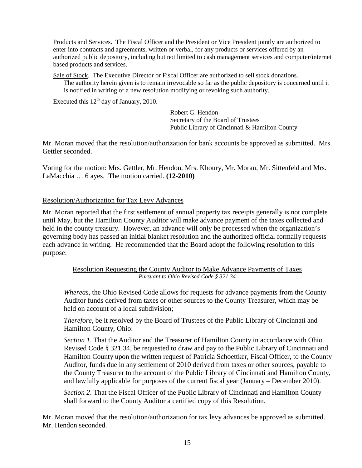Products and Services. The Fiscal Officer and the President or Vice President jointly are authorized to enter into contracts and agreements, written or verbal, for any products or services offered by an authorized public depository, including but not limited to cash management services and computer/internet based products and services.

Sale of Stock. The Executive Director or Fiscal Officer are authorized to sell stock donations. The authority herein given is to remain irrevocable so far as the public depository is concerned until it is notified in writing of a new resolution modifying or revoking such authority.

Executed this  $12<sup>th</sup>$  day of January, 2010.

 Robert G. Hendon Secretary of the Board of Trustees Public Library of Cincinnati & Hamilton County

Mr. Moran moved that the resolution/authorization for bank accounts be approved as submitted. Mrs. Gettler seconded.

Voting for the motion: Mrs. Gettler, Mr. Hendon, Mrs. Khoury, Mr. Moran, Mr. Sittenfeld and Mrs. LaMacchia … 6 ayes. The motion carried. **(12-2010)**

# Resolution/Authorization for Tax Levy Advances

Mr. Moran reported that the first settlement of annual property tax receipts generally is not complete until May, but the Hamilton County Auditor will make advance payment of the taxes collected and held in the county treasury. However, an advance will only be processed when the organization's governing body has passed an initial blanket resolution and the authorized official formally requests each advance in writing. He recommended that the Board adopt the following resolution to this purpose:

> Resolution Requesting the County Auditor to Make Advance Payments of Taxes *Pursuant to Ohio Revised Code § 321.34*

*Whereas*, the Ohio Revised Code allows for requests for advance payments from the County Auditor funds derived from taxes or other sources to the County Treasurer, which may be held on account of a local subdivision;

*Therefore*, be it resolved by the Board of Trustees of the Public Library of Cincinnati and Hamilton County, Ohio:

*Section 1*. That the Auditor and the Treasurer of Hamilton County in accordance with Ohio Revised Code § 321.34, be requested to draw and pay to the Public Library of Cincinnati and Hamilton County upon the written request of Patricia Schoettker, Fiscal Officer, to the County Auditor, funds due in any settlement of 2010 derived from taxes or other sources, payable to the County Treasurer to the account of the Public Library of Cincinnati and Hamilton County, and lawfully applicable for purposes of the current fiscal year (January – December 2010).

*Section 2*. That the Fiscal Officer of the Public Library of Cincinnati and Hamilton County shall forward to the County Auditor a certified copy of this Resolution.

Mr. Moran moved that the resolution/authorization for tax levy advances be approved as submitted. Mr. Hendon seconded.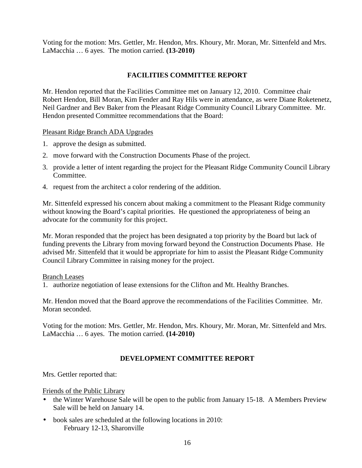Voting for the motion: Mrs. Gettler, Mr. Hendon, Mrs. Khoury, Mr. Moran, Mr. Sittenfeld and Mrs. LaMacchia … 6 ayes. The motion carried. **(13-2010)**

# **FACILITIES COMMITTEE REPORT**

Mr. Hendon reported that the Facilities Committee met on January 12, 2010. Committee chair Robert Hendon, Bill Moran, Kim Fender and Ray Hils were in attendance, as were Diane Roketenetz, Neil Gardner and Bev Baker from the Pleasant Ridge Community Council Library Committee. Mr. Hendon presented Committee recommendations that the Board:

Pleasant Ridge Branch ADA Upgrades

- 1. approve the design as submitted.
- 2. move forward with the Construction Documents Phase of the project.
- 3. provide a letter of intent regarding the project for the Pleasant Ridge Community Council Library Committee.
- 4. request from the architect a color rendering of the addition.

Mr. Sittenfeld expressed his concern about making a commitment to the Pleasant Ridge community without knowing the Board's capital priorities. He questioned the appropriateness of being an advocate for the community for this project.

Mr. Moran responded that the project has been designated a top priority by the Board but lack of funding prevents the Library from moving forward beyond the Construction Documents Phase. He advised Mr. Sittenfeld that it would be appropriate for him to assist the Pleasant Ridge Community Council Library Committee in raising money for the project.

#### Branch Leases

1. authorize negotiation of lease extensions for the Clifton and Mt. Healthy Branches.

Mr. Hendon moved that the Board approve the recommendations of the Facilities Committee. Mr. Moran seconded.

Voting for the motion: Mrs. Gettler, Mr. Hendon, Mrs. Khoury, Mr. Moran, Mr. Sittenfeld and Mrs. LaMacchia … 6 ayes. The motion carried. **(14-2010)** 

## **DEVELOPMENT COMMITTEE REPORT**

Mrs. Gettler reported that:

Friends of the Public Library

- the Winter Warehouse Sale will be open to the public from January 15-18. A Members Preview Sale will be held on January 14.
- book sales are scheduled at the following locations in 2010: February 12-13, Sharonville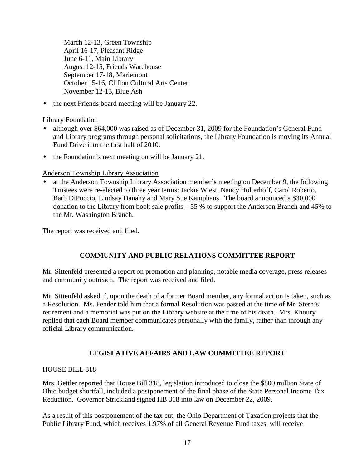March 12-13, Green Township April 16-17, Pleasant Ridge June 6-11, Main Library August 12-15, Friends Warehouse September 17-18, Mariemont October 15-16, Clifton Cultural Arts Center November 12-13, Blue Ash

• the next Friends board meeting will be January 22.

Library Foundation

- although over \$64,000 was raised as of December 31, 2009 for the Foundation's General Fund and Library programs through personal solicitations, the Library Foundation is moving its Annual Fund Drive into the first half of 2010.
- the Foundation's next meeting on will be January 21.

Anderson Township Library Association

• at the Anderson Township Library Association member's meeting on December 9, the following Trustees were re-elected to three year terms: Jackie Wiest, Nancy Holterhoff, Carol Roberto, Barb DiPuccio, Lindsay Danahy and Mary Sue Kamphaus. The board announced a \$30,000 donation to the Library from book sale profits – 55 % to support the Anderson Branch and 45% to the Mt. Washington Branch.

The report was received and filed.

# **COMMUNITY AND PUBLIC RELATIONS COMMITTEE REPORT**

Mr. Sittenfeld presented a report on promotion and planning, notable media coverage, press releases and community outreach. The report was received and filed.

Mr. Sittenfeld asked if, upon the death of a former Board member, any formal action is taken, such as a Resolution. Ms. Fender told him that a formal Resolution was passed at the time of Mr. Stern's retirement and a memorial was put on the Library website at the time of his death. Mrs. Khoury replied that each Board member communicates personally with the family, rather than through any official Library communication.

# **LEGISLATIVE AFFAIRS AND LAW COMMITTEE REPORT**

## HOUSE BILL 318

Mrs. Gettler reported that House Bill 318, legislation introduced to close the \$800 million State of Ohio budget shortfall, included a postponement of the final phase of the State Personal Income Tax Reduction. Governor Strickland signed HB 318 into law on December 22, 2009.

As a result of this postponement of the tax cut, the Ohio Department of Taxation projects that the Public Library Fund, which receives 1.97% of all General Revenue Fund taxes, will receive